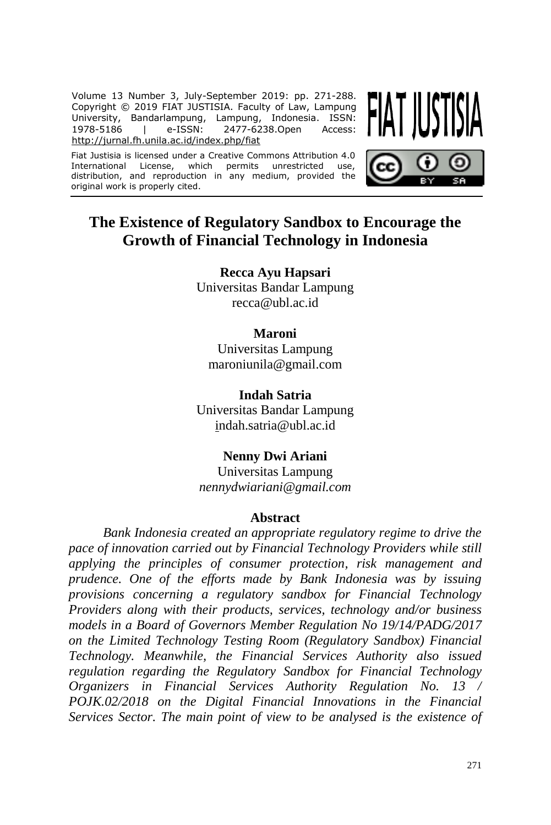Volume 13 Number 3, July-September 2019: pp. 271-288. Copyright © 2019 FIAT JUSTISIA. Faculty of Law, Lampung University, Bandarlampung, Lampung, Indonesia. ISSN: | e-ISSN: 2477-6238.Open Access: http://jurnal.fh.unila.ac.id/index.php/fiat

Fiat Justisia is licensed under a Creative Commons Attribution 4.0 International License, which permits unrestricted use, distribution, and reproduction in any medium, provided the original work is properly cited.





# **The Existence of Regulatory Sandbox to Encourage the Growth of Financial Technology in Indonesia**

**Recca Ayu Hapsari** Universitas Bandar Lampung [recca@ubl.ac.id](mailto:recca@ubl.ac.id)

# **Maroni**

Universitas Lampung maroniunila@gmail.com

**Indah Satria** Universitas Bandar Lampung indah.satria@ubl.ac.id

### **Nenny Dwi Ariani**

Universitas Lampung *nennydwiariani@gmail.com*

### **Abstract**

*Bank Indonesia created an appropriate regulatory regime to drive the pace of innovation carried out by Financial Technology Providers while still applying the principles of consumer protection, risk management and prudence. One of the efforts made by Bank Indonesia was by issuing provisions concerning a regulatory sandbox for Financial Technology Providers along with their products, services, technology and/or business models in a Board of Governors Member Regulation No 19/14/PADG/2017 on the Limited Technology Testing Room (Regulatory Sandbox) Financial Technology. Meanwhile, the Financial Services Authority also issued regulation regarding the Regulatory Sandbox for Financial Technology Organizers in Financial Services Authority Regulation No. 13 / POJK.02/2018 on the Digital Financial Innovations in the Financial Services Sector. The main point of view to be analysed is the existence of*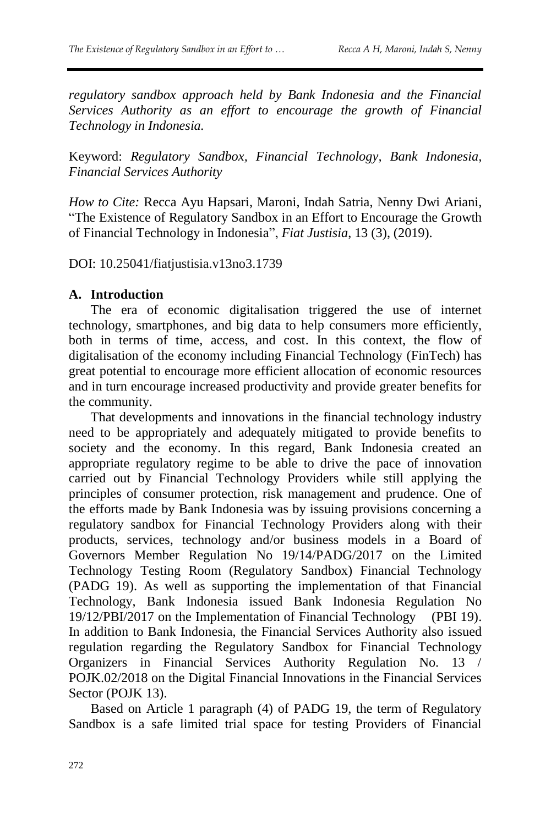*regulatory sandbox approach held by Bank Indonesia and the Financial Services Authority as an effort to encourage the growth of Financial Technology in Indonesia.*

Keyword: *Regulatory Sandbox, Financial Technology, Bank Indonesia, Financial Services Authority*

*How to Cite:* Recca Ayu Hapsari, Maroni, Indah Satria, Nenny Dwi Ariani, "The Existence of Regulatory Sandbox in an Effort to Encourage the Growth of Financial Technology in Indonesia", *Fiat Justisia*, 13 (3), (2019).

DOI: 10.25041/fiatjustisia.v13no3.1739

### **A. Introduction**

The era of economic digitalisation triggered the use of internet technology, smartphones, and big data to help consumers more efficiently, both in terms of time, access, and cost. In this context, the flow of digitalisation of the economy including Financial Technology (FinTech) has great potential to encourage more efficient allocation of economic resources and in turn encourage increased productivity and provide greater benefits for the community.

That developments and innovations in the financial technology industry need to be appropriately and adequately mitigated to provide benefits to society and the economy. In this regard, Bank Indonesia created an appropriate regulatory regime to be able to drive the pace of innovation carried out by Financial Technology Providers while still applying the principles of consumer protection, risk management and prudence. One of the efforts made by Bank Indonesia was by issuing provisions concerning a regulatory sandbox for Financial Technology Providers along with their products, services, technology and/or business models in a Board of Governors Member Regulation No 19/14/PADG/2017 on the Limited Technology Testing Room (Regulatory Sandbox) Financial Technology (PADG 19). As well as supporting the implementation of that Financial Technology, Bank Indonesia issued Bank Indonesia Regulation No 19/12/PBI/2017 on the Implementation of Financial Technology (PBI 19). In addition to Bank Indonesia, the Financial Services Authority also issued regulation regarding the Regulatory Sandbox for Financial Technology Organizers in Financial Services Authority Regulation No. 13 / POJK.02/2018 on the Digital Financial Innovations in the Financial Services Sector (POJK 13).

Based on Article 1 paragraph (4) of PADG 19, the term of Regulatory Sandbox is a safe limited trial space for testing Providers of Financial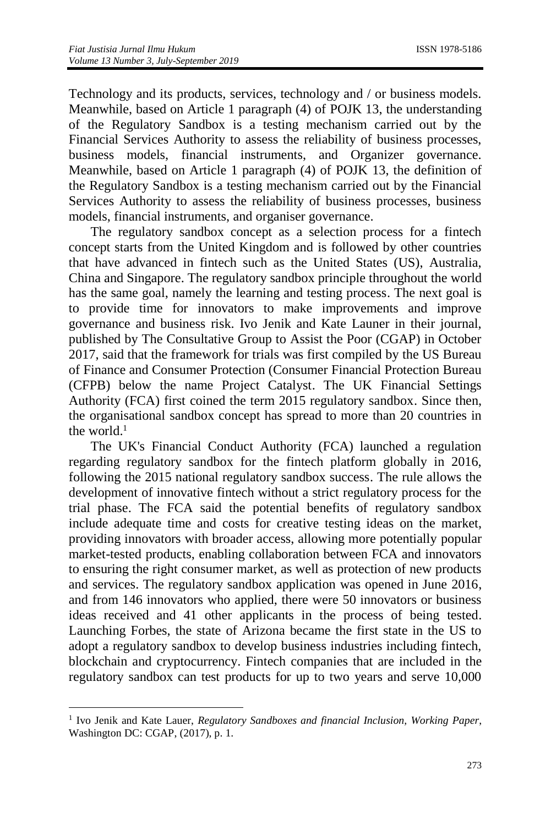Technology and its products, services, technology and / or business models. Meanwhile, based on Article 1 paragraph (4) of POJK 13, the understanding of the Regulatory Sandbox is a testing mechanism carried out by the Financial Services Authority to assess the reliability of business processes, business models, financial instruments, and Organizer governance. Meanwhile, based on Article 1 paragraph (4) of POJK 13, the definition of the Regulatory Sandbox is a testing mechanism carried out by the Financial Services Authority to assess the reliability of business processes, business models, financial instruments, and organiser governance.

The regulatory sandbox concept as a selection process for a fintech concept starts from the United Kingdom and is followed by other countries that have advanced in fintech such as the United States (US), Australia, China and Singapore. The regulatory sandbox principle throughout the world has the same goal, namely the learning and testing process. The next goal is to provide time for innovators to make improvements and improve governance and business risk. Ivo Jenik and Kate Launer in their journal, published by The Consultative Group to Assist the Poor (CGAP) in October 2017, said that the framework for trials was first compiled by the US Bureau of Finance and Consumer Protection (Consumer Financial Protection Bureau (CFPB) below the name Project Catalyst. The UK Financial Settings Authority (FCA) first coined the term 2015 regulatory sandbox. Since then, the organisational sandbox concept has spread to more than 20 countries in the world. 1

The UK's Financial Conduct Authority (FCA) launched a regulation regarding regulatory sandbox for the fintech platform globally in 2016, following the 2015 national regulatory sandbox success. The rule allows the development of innovative fintech without a strict regulatory process for the trial phase. The FCA said the potential benefits of regulatory sandbox include adequate time and costs for creative testing ideas on the market, providing innovators with broader access, allowing more potentially popular market-tested products, enabling collaboration between FCA and innovators to ensuring the right consumer market, as well as protection of new products and services. The regulatory sandbox application was opened in June 2016, and from 146 innovators who applied, there were 50 innovators or business ideas received and 41 other applicants in the process of being tested. Launching Forbes, the state of Arizona became the first state in the US to adopt a regulatory sandbox to develop business industries including fintech, blockchain and cryptocurrency. Fintech companies that are included in the regulatory sandbox can test products for up to two years and serve 10,000

 $\overline{\phantom{a}}$ 

<sup>&</sup>lt;sup>1</sup> Ivo Jenik and Kate Lauer, *Regulatory Sandboxes and financial Inclusion, Working Paper*, Washington DC: CGAP, (2017), p. 1.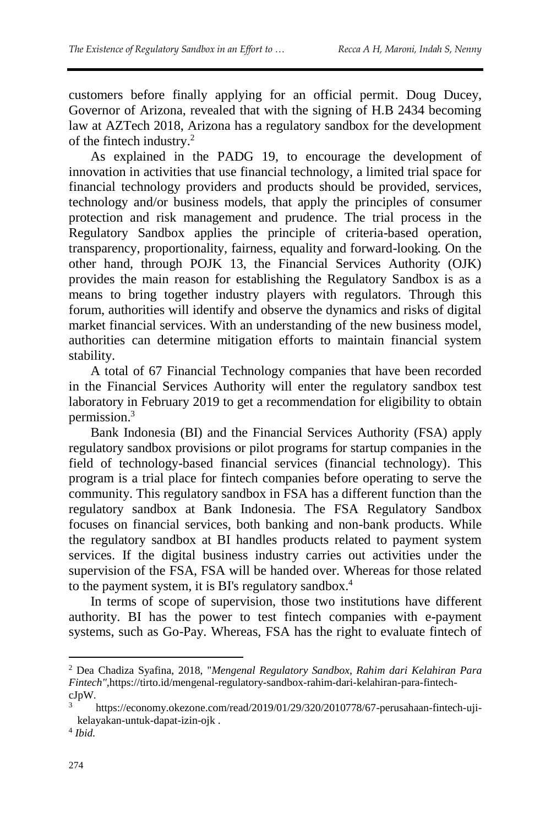customers before finally applying for an official permit. Doug Ducey, Governor of Arizona, revealed that with the signing of H.B 2434 becoming law at AZTech 2018, Arizona has a regulatory sandbox for the development of the fintech industry. 2

As explained in the PADG 19, to encourage the development of innovation in activities that use financial technology, a limited trial space for financial technology providers and products should be provided, services, technology and/or business models, that apply the principles of consumer protection and risk management and prudence. The trial process in the Regulatory Sandbox applies the principle of criteria-based operation, transparency, proportionality, fairness, equality and forward-looking*.* On the other hand, through POJK 13, the Financial Services Authority (OJK) provides the main reason for establishing the Regulatory Sandbox is as a means to bring together industry players with regulators. Through this forum, authorities will identify and observe the dynamics and risks of digital market financial services. With an understanding of the new business model, authorities can determine mitigation efforts to maintain financial system stability.

A total of 67 Financial Technology companies that have been recorded in the Financial Services Authority will enter the regulatory sandbox test laboratory in February 2019 to get a recommendation for eligibility to obtain permission. 3

Bank Indonesia (BI) and the Financial Services Authority (FSA) apply regulatory sandbox provisions or pilot programs for startup companies in the field of technology-based financial services (financial technology). This program is a trial place for fintech companies before operating to serve the community. This regulatory sandbox in FSA has a different function than the regulatory sandbox at Bank Indonesia. The FSA Regulatory Sandbox focuses on financial services, both banking and non-bank products. While the regulatory sandbox at BI handles products related to payment system services. If the digital business industry carries out activities under the supervision of the FSA, FSA will be handed over. Whereas for those related to the payment system, it is BI's regulatory sandbox. 4

In terms of scope of supervision, those two institutions have different authority. BI has the power to test fintech companies with e-payment systems, such as Go-Pay. Whereas, FSA has the right to evaluate fintech of

 $\overline{a}$ 

<sup>2</sup> Dea Chadiza Syafina, 2018, "*Mengenal Regulatory Sandbox, Rahim dari Kelahiran Para Fintech",*https://tirto.id/mengenal-regulatory-sandbox-rahim-dari-kelahiran-para-fintechcJpW.

[https://economy.okezone.com/read/2019/01/29/320/2010778/67-perusahaan-fintech-uji](https://economy.okezone.com/read/2019/01/29/320/2010778/67-perusahaan-fintech-uji-kelayakan-untuk-dapat-izin-ojk)[kelayakan-untuk-dapat-izin-ojk](https://economy.okezone.com/read/2019/01/29/320/2010778/67-perusahaan-fintech-uji-kelayakan-untuk-dapat-izin-ojk) .

<sup>4</sup> *Ibid.*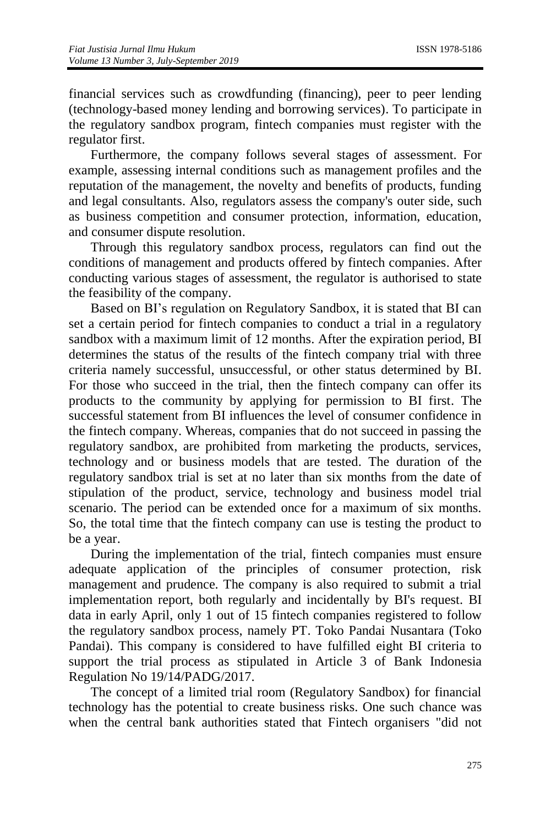financial services such as crowdfunding (financing), peer to peer lending (technology-based money lending and borrowing services). To participate in the regulatory sandbox program, fintech companies must register with the regulator first.

Furthermore, the company follows several stages of assessment. For example, assessing internal conditions such as management profiles and the reputation of the management, the novelty and benefits of products, funding and legal consultants. Also, regulators assess the company's outer side, such as business competition and consumer protection, information, education, and consumer dispute resolution.

Through this regulatory sandbox process, regulators can find out the conditions of management and products offered by fintech companies. After conducting various stages of assessment, the regulator is authorised to state the feasibility of the company.

Based on BI's regulation on Regulatory Sandbox, it is stated that BI can set a certain period for fintech companies to conduct a trial in a regulatory sandbox with a maximum limit of  $12$  months. After the expiration period, BI determines the status of the results of the fintech company trial with three criteria namely successful, unsuccessful, or other status determined by BI. For those who succeed in the trial, then the fintech company can offer its products to the community by applying for permission to BI first. The successful statement from BI influences the level of consumer confidence in the fintech company. Whereas, companies that do not succeed in passing the regulatory sandbox, are prohibited from marketing the products, services, technology and or business models that are tested. The duration of the regulatory sandbox trial is set at no later than six months from the date of stipulation of the product, service, technology and business model trial scenario. The period can be extended once for a maximum of six months. So, the total time that the fintech company can use is testing the product to be a year.

During the implementation of the trial, fintech companies must ensure adequate application of the principles of consumer protection, risk management and prudence. The company is also required to submit a trial implementation report, both regularly and incidentally by BI's request. BI data in early April, only 1 out of 15 fintech companies registered to follow the regulatory sandbox process, namely PT. Toko Pandai Nusantara (Toko Pandai). This company is considered to have fulfilled eight BI criteria to support the trial process as stipulated in Article 3 of Bank Indonesia Regulation No 19/14/PADG/2017.

The concept of a limited trial room (Regulatory Sandbox) for financial technology has the potential to create business risks. One such chance was when the central bank authorities stated that Fintech organisers "did not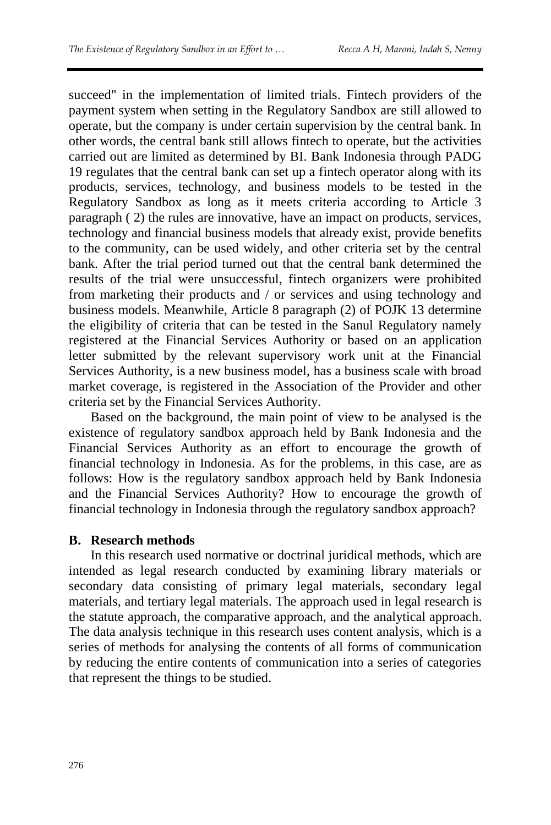succeed" in the implementation of limited trials. Fintech providers of the payment system when setting in the Regulatory Sandbox are still allowed to operate, but the company is under certain supervision by the central bank. In other words, the central bank still allows fintech to operate, but the activities carried out are limited as determined by BI. Bank Indonesia through PADG 19 regulates that the central bank can set up a fintech operator along with its products, services, technology, and business models to be tested in the Regulatory Sandbox as long as it meets criteria according to Article 3 paragraph ( 2) the rules are innovative, have an impact on products, services, technology and financial business models that already exist, provide benefits to the community, can be used widely, and other criteria set by the central bank. After the trial period turned out that the central bank determined the results of the trial were unsuccessful, fintech organizers were prohibited from marketing their products and / or services and using technology and business models. Meanwhile, Article 8 paragraph (2) of POJK 13 determine the eligibility of criteria that can be tested in the Sanul Regulatory namely registered at the Financial Services Authority or based on an application letter submitted by the relevant supervisory work unit at the Financial Services Authority, is a new business model, has a business scale with broad market coverage, is registered in the Association of the Provider and other criteria set by the Financial Services Authority.

Based on the background, the main point of view to be analysed is the existence of regulatory sandbox approach held by Bank Indonesia and the Financial Services Authority as an effort to encourage the growth of financial technology in Indonesia. As for the problems, in this case, are as follows: How is the regulatory sandbox approach held by Bank Indonesia and the Financial Services Authority? How to encourage the growth of financial technology in Indonesia through the regulatory sandbox approach?

# **B. Research methods**

In this research used normative or doctrinal juridical methods, which are intended as legal research conducted by examining library materials or secondary data consisting of primary legal materials, secondary legal materials, and tertiary legal materials. The approach used in legal research is the statute approach, the comparative approach, and the analytical approach. The data analysis technique in this research uses content analysis, which is a series of methods for analysing the contents of all forms of communication by reducing the entire contents of communication into a series of categories that represent the things to be studied.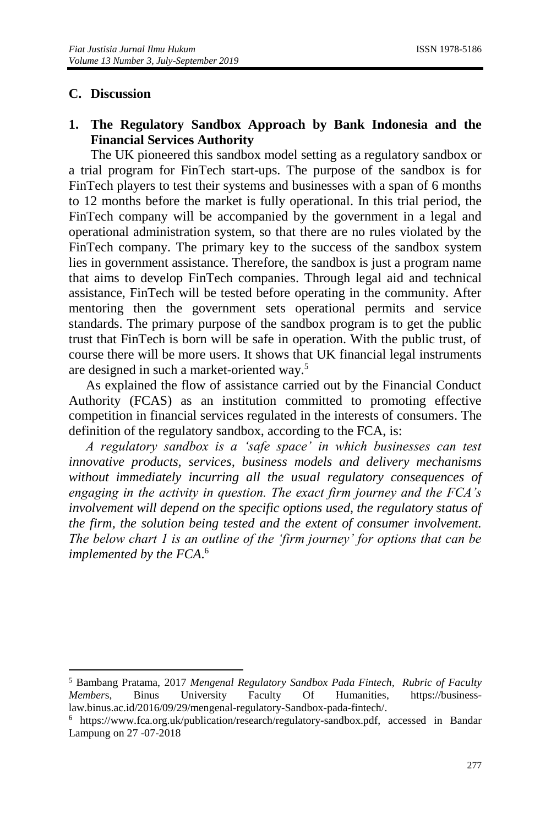### **C. Discussion**

 $\overline{\phantom{a}}$ 

# **1. The Regulatory Sandbox Approach by Bank Indonesia and the Financial Services Authority**

The UK pioneered this sandbox model setting as a regulatory sandbox or a trial program for FinTech start-ups. The purpose of the sandbox is for FinTech players to test their systems and businesses with a span of 6 months to 12 months before the market is fully operational. In this trial period, the FinTech company will be accompanied by the government in a legal and operational administration system, so that there are no rules violated by the FinTech company. The primary key to the success of the sandbox system lies in government assistance. Therefore, the sandbox is just a program name that aims to develop FinTech companies. Through legal aid and technical assistance, FinTech will be tested before operating in the community. After mentoring then the government sets operational permits and service standards. The primary purpose of the sandbox program is to get the public trust that FinTech is born will be safe in operation. With the public trust, of course there will be more users. It shows that UK financial legal instruments are designed in such a market-oriented way. 5

As explained the flow of assistance carried out by the Financial Conduct Authority (FCAS) as an institution committed to promoting effective competition in financial services regulated in the interests of consumers. The definition of the regulatory sandbox, according to the FCA, is:

*A regulatory sandbox is a 'safe space' in which businesses can test innovative products, services, business models and delivery mechanisms without immediately incurring all the usual regulatory consequences of engaging in the activity in question. The exact firm journey and the FCA's involvement will depend on the specific options used, the regulatory status of the firm, the solution being tested and the extent of consumer involvement. The below chart 1 is an outline of the 'firm journey' for options that can be implemented by the FCA*. 6

<sup>5</sup> Bambang Pratama, 2017 *Mengenal Regulatory Sandbox Pada Fintech, Rubric of Faculty Member*s, Binus University Faculty Of Humanities, https://businesslaw.binus.ac.id/2016/09/29/mengenal-regulatory-Sandbox-pada-fintech/.

<sup>6</sup> [https://www.fca.org.uk/publication/research/regulatory-sandbox.pdf,](https://www.fca.org.uk/publication/research/regulatory-sandbox.pdf) accessed in Bandar Lampung on 27 -07-2018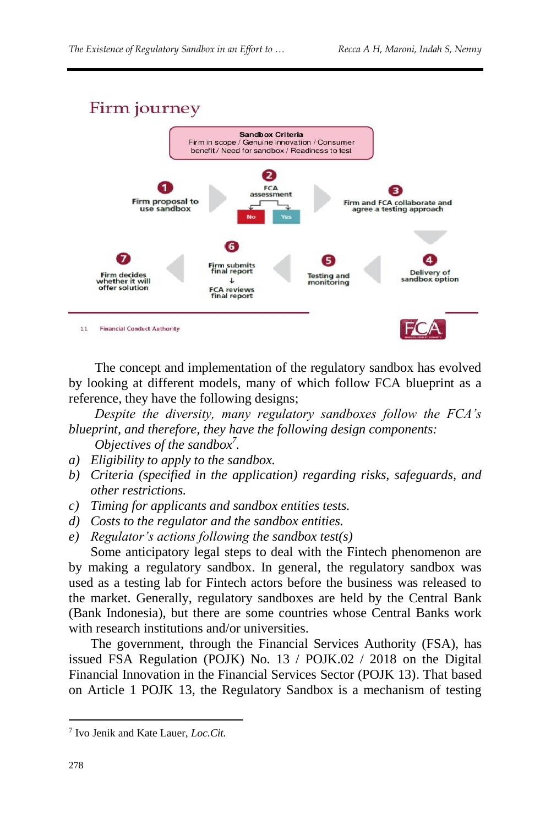



The concept and implementation of the regulatory sandbox has evolved by looking at different models, many of which follow FCA blueprint as a reference, they have the following designs;

*Despite the diversity, many regulatory sandboxes follow the FCA's blueprint, and therefore, they have the following design components:*

*Objectives of the sandbox<sup>7</sup> .*

- *a) Eligibility to apply to the sandbox.*
- *b) Criteria (specified in the application) regarding risks, safeguards, and other restrictions.*
- *c) Timing for applicants and sandbox entities tests.*
- *d) Costs to the regulator and the sandbox entities.*
- *e) Regulator's actions following the sandbox test(s)*

Some anticipatory legal steps to deal with the Fintech phenomenon are by making a regulatory sandbox. In general, the regulatory sandbox was used as a testing lab for Fintech actors before the business was released to the market. Generally, regulatory sandboxes are held by the Central Bank (Bank Indonesia), but there are some countries whose Central Banks work with research institutions and/or universities.

The government, through the Financial Services Authority (FSA), has issued FSA Regulation (POJK) No. 13 / POJK.02 / 2018 on the Digital Financial Innovation in the Financial Services Sector (POJK 13). That based on Article 1 POJK 13, the Regulatory Sandbox is a mechanism of testing

 $\overline{a}$ 

<sup>7</sup> Ivo Jenik and Kate Lauer, *Loc.Cit.*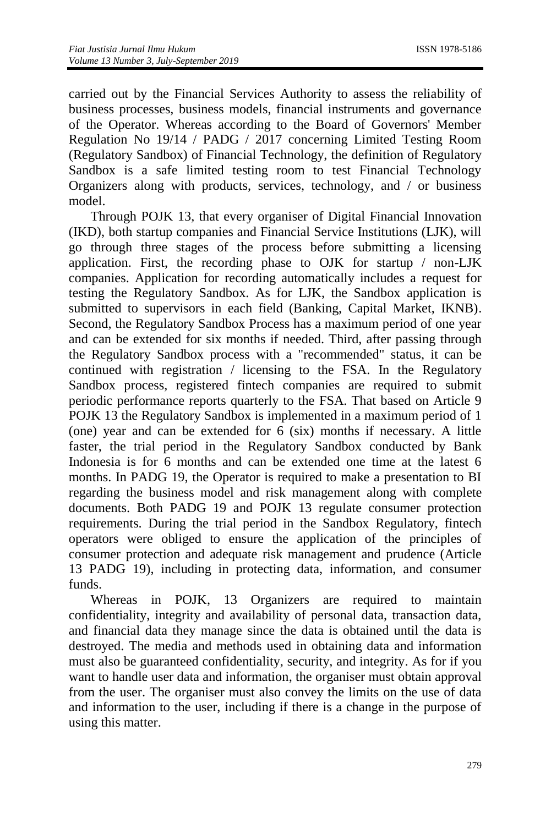carried out by the Financial Services Authority to assess the reliability of business processes, business models, financial instruments and governance of the Operator. Whereas according to the Board of Governors' Member Regulation No 19/14 / PADG / 2017 concerning Limited Testing Room (Regulatory Sandbox) of Financial Technology, the definition of Regulatory Sandbox is a safe limited testing room to test Financial Technology Organizers along with products, services, technology, and / or business model.

Through POJK 13, that every organiser of Digital Financial Innovation (IKD), both startup companies and Financial Service Institutions (LJK), will go through three stages of the process before submitting a licensing application. First, the recording phase to OJK for startup  $/$  non-LJK companies. Application for recording automatically includes a request for testing the Regulatory Sandbox. As for LJK, the Sandbox application is submitted to supervisors in each field (Banking, Capital Market, IKNB). Second, the Regulatory Sandbox Process has a maximum period of one year and can be extended for six months if needed. Third, after passing through the Regulatory Sandbox process with a "recommended" status, it can be continued with registration / licensing to the FSA. In the Regulatory Sandbox process, registered fintech companies are required to submit periodic performance reports quarterly to the FSA. That based on Article 9 POJK 13 the Regulatory Sandbox is implemented in a maximum period of 1 (one) year and can be extended for  $\vec{6}$  (six) months if necessary. A little faster, the trial period in the Regulatory Sandbox conducted by Bank Indonesia is for 6 months and can be extended one time at the latest 6 months. In PADG 19, the Operator is required to make a presentation to BI regarding the business model and risk management along with complete documents. Both PADG 19 and POJK 13 regulate consumer protection requirements. During the trial period in the Sandbox Regulatory, fintech operators were obliged to ensure the application of the principles of consumer protection and adequate risk management and prudence (Article 13 PADG 19), including in protecting data, information, and consumer funds.

Whereas in POJK, 13 Organizers are required to maintain confidentiality, integrity and availability of personal data, transaction data, and financial data they manage since the data is obtained until the data is destroyed. The media and methods used in obtaining data and information must also be guaranteed confidentiality, security, and integrity. As for if you want to handle user data and information, the organiser must obtain approval from the user. The organiser must also convey the limits on the use of data and information to the user, including if there is a change in the purpose of using this matter.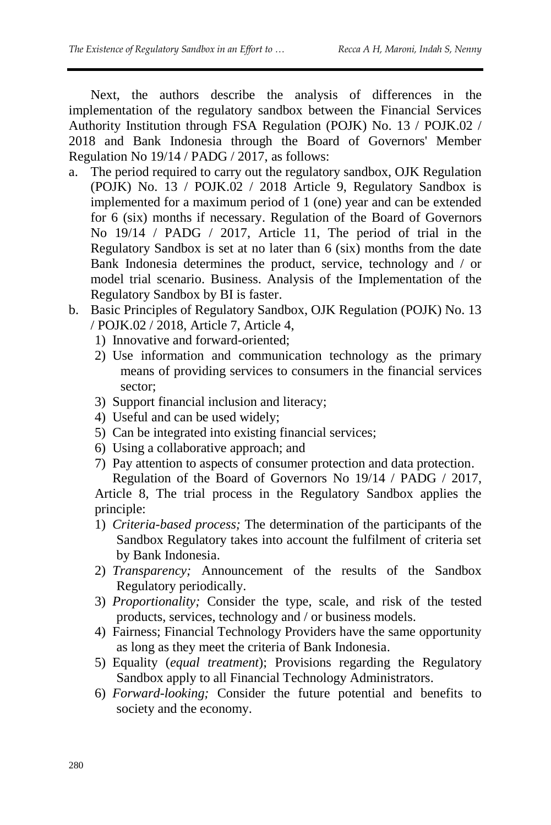Next, the authors describe the analysis of differences in the implementation of the regulatory sandbox between the Financial Services Authority Institution through FSA Regulation (POJK) No. 13 / POJK.02 / 2018 and Bank Indonesia through the Board of Governors' Member Regulation No 19/14 / PADG / 2017, as follows:

- a. The period required to carry out the regulatory sandbox, OJK Regulation (POJK) No. 13 / POJK.02 / 2018 Article 9, Regulatory Sandbox is implemented for a maximum period of 1 (one) year and can be extended for 6 (six) months if necessary. Regulation of the Board of Governors No 19/14 / PADG / 2017, Article 11, The period of trial in the Regulatory Sandbox is set at no later than 6 (six) months from the date Bank Indonesia determines the product, service, technology and / or model trial scenario. Business. Analysis of the Implementation of the Regulatory Sandbox by BI is faster.
- b. Basic Principles of Regulatory Sandbox, OJK Regulation (POJK) No. 13 / POJK.02 / 2018, Article 7, Article 4,
	- 1) Innovative and forward-oriented;
	- 2) Use information and communication technology as the primary means of providing services to consumers in the financial services sector;
	- 3) Support financial inclusion and literacy;
	- 4) Useful and can be used widely;
	- 5) Can be integrated into existing financial services;
	- 6) Using a collaborative approach; and
	- 7) Pay attention to aspects of consumer protection and data protection. Regulation of the Board of Governors No 19/14 / PADG / 2017,

Article 8, The trial process in the Regulatory Sandbox applies the principle:

- 1) *Criteria-based process;* The determination of the participants of the Sandbox Regulatory takes into account the fulfilment of criteria set by Bank Indonesia.
- 2) *Transparency;* Announcement of the results of the Sandbox Regulatory periodically.
- 3) *Proportionality;* Consider the type, scale, and risk of the tested products, services, technology and / or business models.
- 4) Fairness; Financial Technology Providers have the same opportunity as long as they meet the criteria of Bank Indonesia.
- 5) Equality (*equal treatment*); Provisions regarding the Regulatory Sandbox apply to all Financial Technology Administrators.
- 6) *Forward-looking;* Consider the future potential and benefits to society and the economy.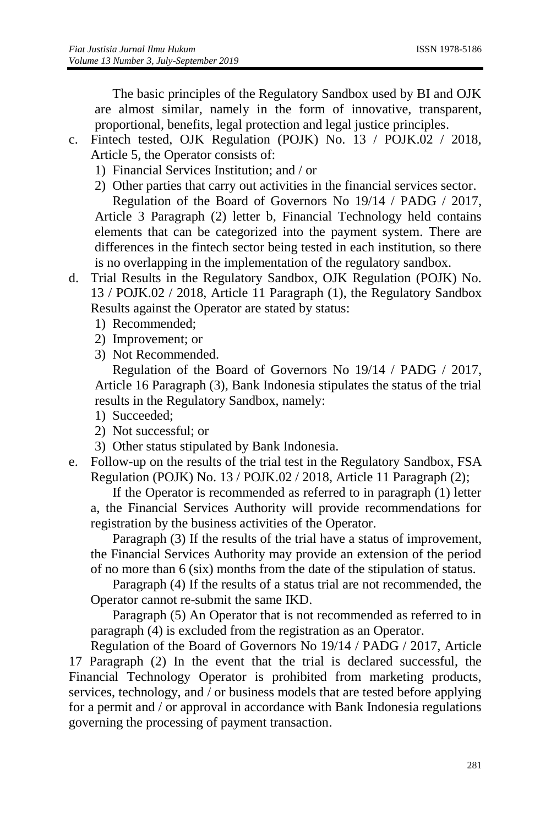The basic principles of the Regulatory Sandbox used by BI and OJK are almost similar, namely in the form of innovative, transparent, proportional, benefits, legal protection and legal justice principles.

- c. Fintech tested, OJK Regulation (POJK) No. 13 / POJK.02 / 2018, Article 5, the Operator consists of:
	- 1) Financial Services Institution; and / or
	- 2) Other parties that carry out activities in the financial services sector. Regulation of the Board of Governors No 19/14 / PADG / 2017, Article 3 Paragraph (2) letter b, Financial Technology held contains elements that can be categorized into the payment system. There are differences in the fintech sector being tested in each institution, so there is no overlapping in the implementation of the regulatory sandbox.
- d. Trial Results in the Regulatory Sandbox, OJK Regulation (POJK) No. 13 / POJK.02 / 2018, Article 11 Paragraph (1), the Regulatory Sandbox Results against the Operator are stated by status:
	- 1) Recommended;
	- 2) Improvement; or
	- 3) Not Recommended.

Regulation of the Board of Governors No 19/14 / PADG / 2017, Article 16 Paragraph (3), Bank Indonesia stipulates the status of the trial results in the Regulatory Sandbox, namely:

- 1) Succeeded;
- 2) Not successful; or
- 3) Other status stipulated by Bank Indonesia.
- e. Follow-up on the results of the trial test in the Regulatory Sandbox, FSA Regulation (POJK) No. 13 / POJK.02 / 2018, Article 11 Paragraph (2);

If the Operator is recommended as referred to in paragraph (1) letter

a, the Financial Services Authority will provide recommendations for registration by the business activities of the Operator.

Paragraph (3) If the results of the trial have a status of improvement, the Financial Services Authority may provide an extension of the period of no more than 6 (six) months from the date of the stipulation of status.

Paragraph (4) If the results of a status trial are not recommended, the Operator cannot re-submit the same IKD.

Paragraph (5) An Operator that is not recommended as referred to in paragraph (4) is excluded from the registration as an Operator.

Regulation of the Board of Governors No 19/14 / PADG / 2017, Article 17 Paragraph (2) In the event that the trial is declared successful, the Financial Technology Operator is prohibited from marketing products, services, technology, and / or business models that are tested before applying for a permit and / or approval in accordance with Bank Indonesia regulations governing the processing of payment transaction.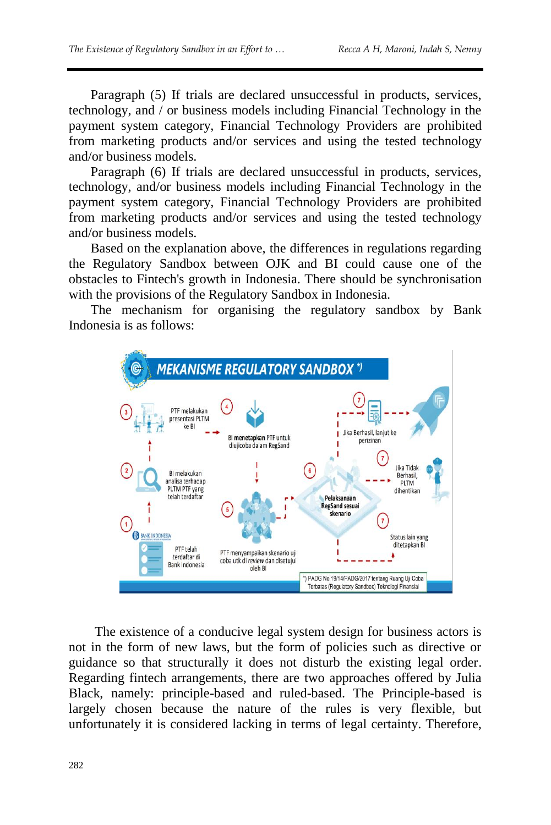Paragraph (5) If trials are declared unsuccessful in products, services, technology, and / or business models including Financial Technology in the payment system category, Financial Technology Providers are prohibited from marketing products and/or services and using the tested technology and/or business models.

Paragraph (6) If trials are declared unsuccessful in products, services, technology, and/or business models including Financial Technology in the payment system category, Financial Technology Providers are prohibited from marketing products and/or services and using the tested technology and/or business models.

Based on the explanation above, the differences in regulations regarding the Regulatory Sandbox between OJK and BI could cause one of the obstacles to Fintech's growth in Indonesia. There should be synchronisation with the provisions of the Regulatory Sandbox in Indonesia.

The mechanism for organising the regulatory sandbox by Bank Indonesia is as follows:



The existence of a conducive legal system design for business actors is not in the form of new laws, but the form of policies such as directive or guidance so that structurally it does not disturb the existing legal order. Regarding fintech arrangements, there are two approaches offered by Julia Black, namely: principle-based and ruled-based. The Principle-based is largely chosen because the nature of the rules is very flexible, but unfortunately it is considered lacking in terms of legal certainty. Therefore,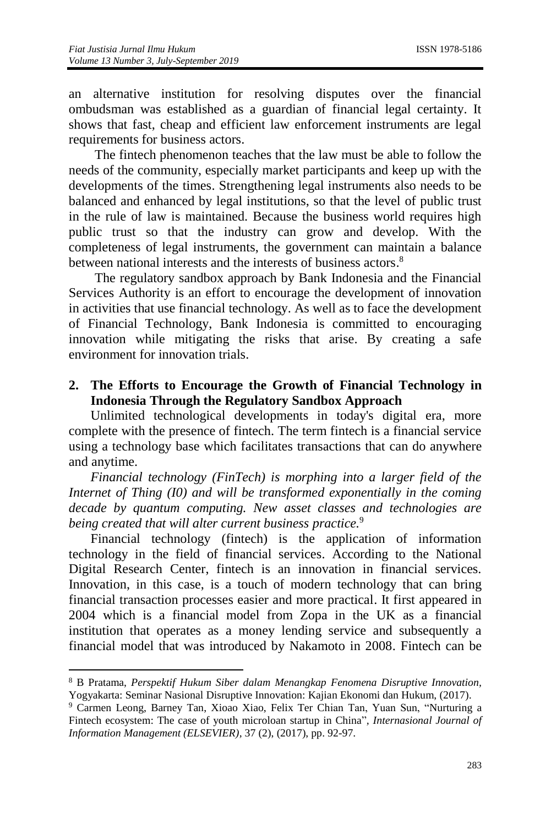$\overline{\phantom{a}}$ 

an alternative institution for resolving disputes over the financial ombudsman was established as a guardian of financial legal certainty. It shows that fast, cheap and efficient law enforcement instruments are legal requirements for business actors.

The fintech phenomenon teaches that the law must be able to follow the needs of the community, especially market participants and keep up with the developments of the times. Strengthening legal instruments also needs to be balanced and enhanced by legal institutions, so that the level of public trust in the rule of law is maintained. Because the business world requires high public trust so that the industry can grow and develop. With the completeness of legal instruments, the government can maintain a balance between national interests and the interests of business actors.<sup>8</sup>

The regulatory sandbox approach by Bank Indonesia and the Financial Services Authority is an effort to encourage the development of innovation in activities that use financial technology. As well as to face the development of Financial Technology, Bank Indonesia is committed to encouraging innovation while mitigating the risks that arise. By creating a safe environment for innovation trials.

# **2. The Efforts to Encourage the Growth of Financial Technology in Indonesia Through the Regulatory Sandbox Approach**

Unlimited technological developments in today's digital era, more complete with the presence of fintech. The term fintech is a financial service using a technology base which facilitates transactions that can do anywhere and anytime.

*Financial technology (FinTech) is morphing into a larger field of the Internet of Thing (I0) and will be transformed exponentially in the coming decade by quantum computing. New asset classes and technologies are being created that will alter current business practice.*<sup>9</sup>

Financial technology (fintech) is the application of information technology in the field of financial services. According to the National Digital Research Center, fintech is an innovation in financial services. Innovation, in this case, is a touch of modern technology that can bring financial transaction processes easier and more practical. It first appeared in 2004 which is a financial model from Zopa in the UK as a financial institution that operates as a money lending service and subsequently a financial model that was introduced by Nakamoto in 2008. Fintech can be

<sup>8</sup> B Pratama, *Perspektif Hukum Siber dalam Menangkap Fenomena Disruptive Innovation,*  Yogyakarta: Seminar Nasional Disruptive Innovation: Kajian Ekonomi dan Hukum, (2017).

<sup>9</sup> Carmen Leong, Barney Tan, Xioao Xiao, Felix Ter Chian Tan, Yuan Sun, "Nurturing a Fintech ecosystem: The case of youth microloan startup in China"*, Internasional Journal of Information Management (ELSEVIER),* 37 (2), (2017), pp. 92-97.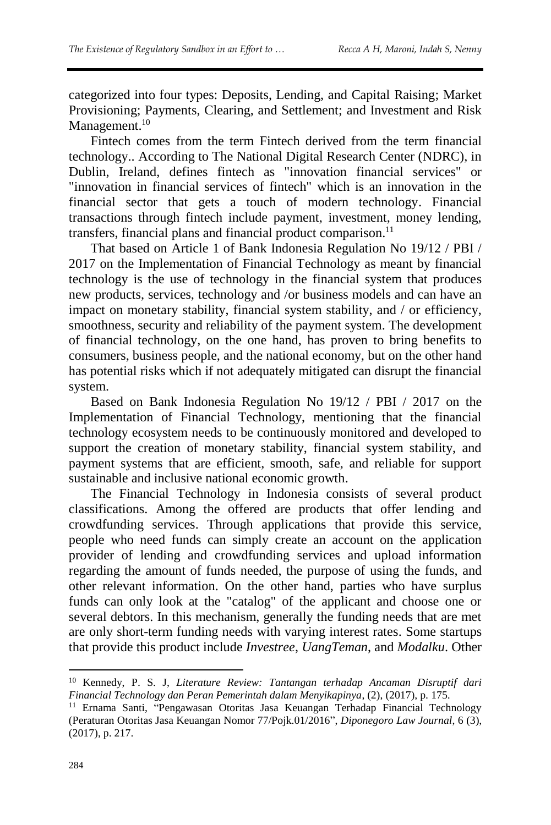categorized into four types: Deposits, Lending, and Capital Raising; Market Provisioning; Payments, Clearing, and Settlement; and Investment and Risk Management. 10

Fintech comes from the term Fintech derived from the term financial technology.. According to The National Digital Research Center (NDRC), in Dublin, Ireland, defines fintech as "innovation financial services" or "innovation in financial services of fintech" which is an innovation in the financial sector that gets a touch of modern technology. Financial transactions through fintech include payment, investment, money lending, transfers, financial plans and financial product comparison. $11$ 

That based on Article 1 of Bank Indonesia Regulation No 19/12 / PBI / 2017 on the Implementation of Financial Technology as meant by financial technology is the use of technology in the financial system that produces new products, services, technology and /or business models and can have an impact on monetary stability, financial system stability, and / or efficiency, smoothness, security and reliability of the payment system. The development of financial technology, on the one hand, has proven to bring benefits to consumers, business people, and the national economy, but on the other hand has potential risks which if not adequately mitigated can disrupt the financial system.

Based on Bank Indonesia Regulation No 19/12 / PBI / 2017 on the Implementation of Financial Technology, mentioning that the financial technology ecosystem needs to be continuously monitored and developed to support the creation of monetary stability, financial system stability, and payment systems that are efficient, smooth, safe, and reliable for support sustainable and inclusive national economic growth.

The Financial Technology in Indonesia consists of several product classifications. Among the offered are products that offer lending and crowdfunding services. Through applications that provide this service, people who need funds can simply create an account on the application provider of lending and crowdfunding services and upload information regarding the amount of funds needed, the purpose of using the funds, and other relevant information. On the other hand, parties who have surplus funds can only look at the "catalog" of the applicant and choose one or several debtors. In this mechanism, generally the funding needs that are met are only short-term funding needs with varying interest rates. Some startups that provide this product include *Investree*, *UangTeman*, and *Modalku*. Other

 $\overline{\phantom{a}}$ 

<sup>10</sup> Kennedy, P. S. J, *Literature Review: Tantangan terhadap Ancaman Disruptif dari Financial Technology dan Peran Pemerintah dalam Menyikapinya*, (2), (2017), p. 175.

<sup>&</sup>lt;sup>11</sup> Ernama Santi, "Pengawasan Otoritas Jasa Keuangan Terhadap Financial Technology (Peraturan Otoritas Jasa Keuangan Nomor 77/Pojk.01/2016", *Diponegoro Law Journal*, 6 (3), (2017), p. 217.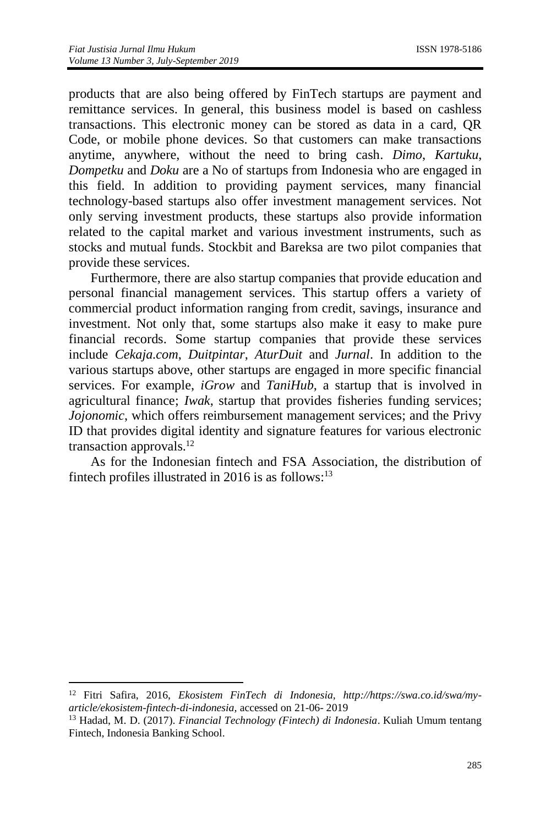products that are also being offered by FinTech startups are payment and remittance services. In general, this business model is based on cashless transactions. This electronic money can be stored as data in a card, QR Code, or mobile phone devices. So that customers can make transactions anytime, anywhere, without the need to bring cash. *Dimo*, *Kartuku*, *Dompetku* and *Doku* are a No of startups from Indonesia who are engaged in this field. In addition to providing payment services, many financial technology-based startups also offer investment management services. Not only serving investment products, these startups also provide information related to the capital market and various investment instruments, such as stocks and mutual funds. Stockbit and Bareksa are two pilot companies that provide these services.

Furthermore, there are also startup companies that provide education and personal financial management services. This startup offers a variety of commercial product information ranging from credit, savings, insurance and investment. Not only that, some startups also make it easy to make pure financial records. Some startup companies that provide these services include *Cekaja.com*, *Duitpintar*, *AturDuit* and *Jurnal*. In addition to the various startups above, other startups are engaged in more specific financial services. For example, *iGrow* and *TaniHub*, a startup that is involved in agricultural finance; *Iwak*, startup that provides fisheries funding services; *Jojonomic*, which offers reimbursement management services; and the Privy ID that provides digital identity and signature features for various electronic transaction approvals.<sup>12</sup>

As for the Indonesian fintech and FSA Association, the distribution of fintech profiles illustrated in 2016 is as follows:<sup>13</sup>

 $\overline{a}$ 

<sup>12</sup> Fitri Safira, 2016, *Ekosistem FinTech di Indonesia, http://https://swa.co.id/swa/myarticle/ekosistem-fintech-di-indonesia,* accessed on 21-06- 2019

<sup>13</sup> Hadad, M. D. (2017). *Financial Technology (Fintech) di Indonesia*. Kuliah Umum tentang Fintech, Indonesia Banking School.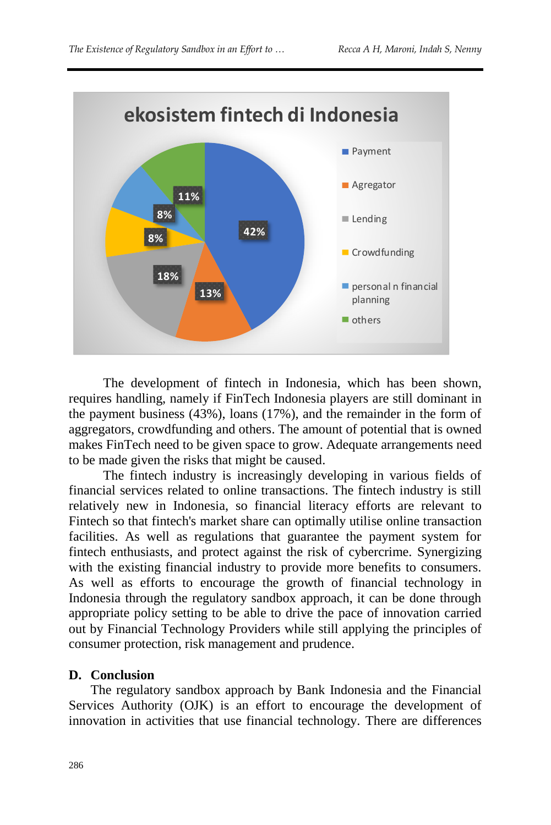

The development of fintech in Indonesia, which has been shown, requires handling, namely if FinTech Indonesia players are still dominant in the payment business (43%), loans (17%), and the remainder in the form of aggregators, crowdfunding and others. The amount of potential that is owned makes FinTech need to be given space to grow. Adequate arrangements need to be made given the risks that might be caused.

The fintech industry is increasingly developing in various fields of financial services related to online transactions. The fintech industry is still relatively new in Indonesia, so financial literacy efforts are relevant to Fintech so that fintech's market share can optimally utilise online transaction facilities. As well as regulations that guarantee the payment system for fintech enthusiasts, and protect against the risk of cybercrime. Synergizing with the existing financial industry to provide more benefits to consumers. As well as efforts to encourage the growth of financial technology in Indonesia through the regulatory sandbox approach, it can be done through appropriate policy setting to be able to drive the pace of innovation carried out by Financial Technology Providers while still applying the principles of consumer protection, risk management and prudence.

### **D. Conclusion**

The regulatory sandbox approach by Bank Indonesia and the Financial Services Authority (OJK) is an effort to encourage the development of innovation in activities that use financial technology. There are differences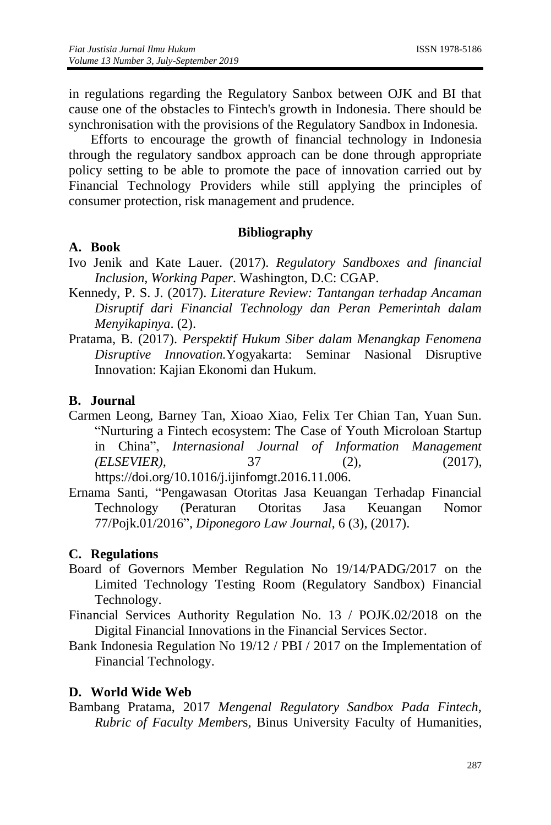in regulations regarding the Regulatory Sanbox between OJK and BI that cause one of the obstacles to Fintech's growth in Indonesia. There should be synchronisation with the provisions of the Regulatory Sandbox in Indonesia.

Efforts to encourage the growth of financial technology in Indonesia through the regulatory sandbox approach can be done through appropriate policy setting to be able to promote the pace of innovation carried out by Financial Technology Providers while still applying the principles of consumer protection, risk management and prudence.

### **Bibliography**

### **A. Book**

- Ivo Jenik and Kate Lauer. (2017). *Regulatory Sandboxes and financial Inclusion, Working Paper.* Washington, D.C: CGAP.
- Kennedy, P. S. J. (2017). *Literature Review: Tantangan terhadap Ancaman Disruptif dari Financial Technology dan Peran Pemerintah dalam Menyikapinya*. (2).
- Pratama, B. (2017). *Perspektif Hukum Siber dalam Menangkap Fenomena Disruptive Innovation.*Yogyakarta: Seminar Nasional Disruptive Innovation: Kajian Ekonomi dan Hukum.

### **B. Journal**

- Carmen Leong, Barney Tan, Xioao Xiao, Felix Ter Chian Tan, Yuan Sun. "Nurturing a Fintech ecosystem: The Case of Youth Microloan Startup in China", *Internasional Journal of Information Management (ELSEVIER),* 37 (2), (2017), [https://doi.org/10.1016/j.ijinfomgt.2016.11.006.]( https:/doi.org/10.1016/j.ijinfomgt.2016.11.006 )
- Ernama Santi, "Pengawasan Otoritas Jasa Keuangan Terhadap Financial Technology (Peraturan Otoritas Jasa Keuangan Nomor 77/Pojk.01/2016", *Diponegoro Law Journal*, 6 (3), (2017).

### **C. Regulations**

- Board of Governors Member Regulation No 19/14/PADG/2017 on the Limited Technology Testing Room (Regulatory Sandbox) Financial Technology.
- Financial Services Authority Regulation No. 13 / POJK.02/2018 on the Digital Financial Innovations in the Financial Services Sector.
- Bank Indonesia Regulation No 19/12 / PBI / 2017 on the Implementation of Financial Technology.

### **D. World Wide Web**

Bambang Pratama, 2017 *Mengenal Regulatory Sandbox Pada Fintech, Rubric of Faculty Member*s, Binus University Faculty of Humanities,